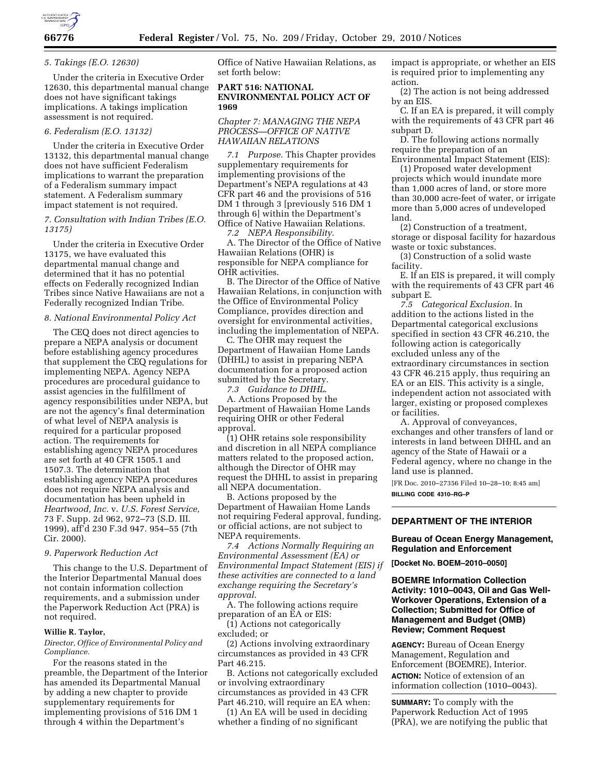

### *5. Takings (E.O. 12630)*

Under the criteria in Executive Order 12630, this departmental manual change does not have significant takings implications. A takings implication assessment is not required.

## *6. Federalism (E.O. 13132)*

Under the criteria in Executive Order 13132, this departmental manual change does not have sufficient Federalism implications to warrant the preparation of a Federalism summary impact statement. A Federalism summary impact statement is not required.

*7. Consultation with Indian Tribes (E.O. 13175)* 

Under the criteria in Executive Order 13175, we have evaluated this departmental manual change and determined that it has no potential effects on Federally recognized Indian Tribes since Native Hawaiians are not a Federally recognized Indian Tribe.

#### *8. National Environmental Policy Act*

The CEQ does not direct agencies to prepare a NEPA analysis or document before establishing agency procedures that supplement the CEQ regulations for implementing NEPA. Agency NEPA procedures are procedural guidance to assist agencies in the fulfillment of agency responsibilities under NEPA, but are not the agency's final determination of what level of NEPA analysis is required for a particular proposed action. The requirements for establishing agency NEPA procedures are set forth at 40 CFR 1505.1 and 1507.3. The determination that establishing agency NEPA procedures does not require NEPA analysis and documentation has been upheld in *Heartwood, Inc.* v. *U.S. Forest Service,*  73 F. Supp. 2d 962, 972–73 (S.D. III. 1999), aff'd 230 F.3d 947. 954–55 (7th Cir. 2000).

#### *9. Paperwork Reduction Act*

This change to the U.S. Department of the Interior Departmental Manual does not contain information collection requirements, and a submission under the Paperwork Reduction Act (PRA) is not required.

#### **Willie R. Taylor,**

*Director, Office of Environmental Policy and Compliance.* 

For the reasons stated in the preamble, the Department of the Interior has amended its Departmental Manual by adding a new chapter to provide supplementary requirements for implementing provisions of 516 DM 1 through 4 within the Department's

Office of Native Hawaiian Relations, as set forth below:

#### **PART 516: NATIONAL ENVIRONMENTAL POLICY ACT OF 1969**

*Chapter 7: MANAGING THE NEPA PROCESS—OFFICE OF NATIVE HAWAIIAN RELATIONS* 

*7.1 Purpose.* This Chapter provides supplementary requirements for implementing provisions of the Department's NEPA regulations at 43 CFR part 46 and the provisions of 516 DM 1 through 3 [previously 516 DM 1 through 6] within the Department's Office of Native Hawaiian Relations.

*7.2 NEPA Responsibility*.

A. The Director of the Office of Native Hawaiian Relations (OHR) is responsible for NEPA compliance for OHR activities.

B. The Director of the Office of Native Hawaiian Relations, in conjunction with the Office of Environmental Policy Compliance, provides direction and oversight for environmental activities, including the implementation of NEPA.

C. The OHR may request the Department of Hawaiian Home Lands (DHHL) to assist in preparing NEPA documentation for a proposed action submitted by the Secretary.

*7.3 Guidance to DHHL*. A. Actions Proposed by the Department of Hawaiian Home Lands requiring OHR or other Federal approval.

(1) OHR retains sole responsibility and discretion in all NEPA compliance matters related to the proposed action, although the Director of OHR may request the DHHL to assist in preparing all NEPA documentation.

B. Actions proposed by the Department of Hawaiian Home Lands not requiring Federal approval, funding, or official actions, are not subject to NEPA requirements.

*7.4 Actions Normally Requiring an Environmental Assessment (EA) or Environmental Impact Statement (EIS) if these activities are connected to a land exchange requiring the Secretary's approval*.

A. The following actions require preparation of an EA or EIS:

(1) Actions not categorically excluded; or

(2) Actions involving extraordinary circumstances as provided in 43 CFR Part 46.215.

B. Actions not categorically excluded or involving extraordinary circumstances as provided in 43 CFR

Part 46.210, will require an EA when: (1) An EA will be used in deciding

whether a finding of no significant

impact is appropriate, or whether an EIS is required prior to implementing any action.

(2) The action is not being addressed by an EIS.

C. If an EA is prepared, it will comply with the requirements of 43 CFR part 46 subpart D.

D. The following actions normally require the preparation of an Environmental Impact Statement (EIS):

(1) Proposed water development projects which would inundate more than 1,000 acres of land, or store more than 30,000 acre-feet of water, or irrigate more than 5,000 acres of undeveloped land.

(2) Construction of a treatment, storage or disposal facility for hazardous waste or toxic substances.

(3) Construction of a solid waste facility.

E. If an EIS is prepared, it will comply with the requirements of 43 CFR part 46 subpart E.

*7.5 Categorical Exclusion.* In addition to the actions listed in the Departmental categorical exclusions specified in section 43 CFR 46.210, the following action is categorically excluded unless any of the extraordinary circumstances in section 43 CFR 46.215 apply, thus requiring an EA or an EIS. This activity is a single, independent action not associated with larger, existing or proposed complexes or facilities.

A. Approval of conveyances, exchanges and other transfers of land or interests in land between DHHL and an agency of the State of Hawaii or a Federal agency, where no change in the land use is planned.

[FR Doc. 2010–27356 Filed 10–28–10; 8:45 am] **BILLING CODE 4310–RG–P** 

# **DEPARTMENT OF THE INTERIOR**

### **Bureau of Ocean Energy Management, Regulation and Enforcement**

**[Docket No. BOEM–2010–0050]** 

### **BOEMRE Information Collection Activity: 1010–0043, Oil and Gas Well-Workover Operations, Extension of a Collection; Submitted for Office of Management and Budget (OMB) Review; Comment Request**

**AGENCY:** Bureau of Ocean Energy Management, Regulation and Enforcement (BOEMRE), Interior.

**ACTION:** Notice of extension of an information collection (1010–0043).

**SUMMARY:** To comply with the Paperwork Reduction Act of 1995 (PRA), we are notifying the public that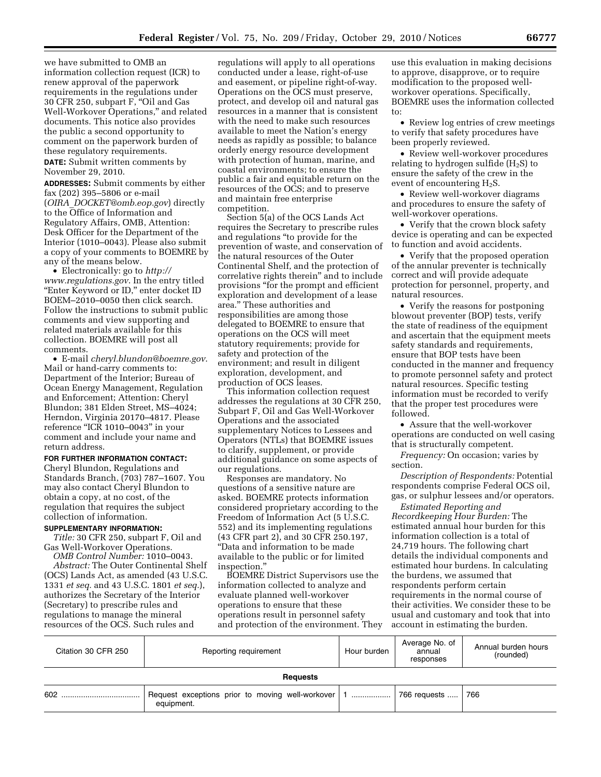we have submitted to OMB an information collection request (ICR) to renew approval of the paperwork requirements in the regulations under 30 CFR 250, subpart F, ''Oil and Gas Well-Workover Operations,'' and related documents. This notice also provides the public a second opportunity to comment on the paperwork burden of these regulatory requirements.

**DATE:** Submit written comments by November 29, 2010.

**ADDRESSES:** Submit comments by either fax (202) 395–5806 or e-mail (*OIRA*\_*[DOCKET@omb.eop.gov](mailto:OIRA_DOCKET@omb.eop.gov)*) directly to the Office of Information and Regulatory Affairs, OMB, Attention: Desk Officer for the Department of the Interior (1010–0043). Please also submit a copy of your comments to BOEMRE by any of the means below.

• Electronically: go to *[http://](http://www.regulations.gov)  [www.regulations.gov](http://www.regulations.gov)*. In the entry titled ''Enter Keyword or ID,'' enter docket ID BOEM–2010–0050 then click search. Follow the instructions to submit public comments and view supporting and related materials available for this collection. BOEMRE will post all comments.

• E-mail *[cheryl.blundon@boemre.gov](mailto:cheryl.blundon@boemre.gov)*. Mail or hand-carry comments to: Department of the Interior; Bureau of Ocean Energy Management, Regulation and Enforcement; Attention: Cheryl Blundon; 381 Elden Street, MS–4024; Herndon, Virginia 20170–4817. Please reference ''ICR 1010–0043'' in your comment and include your name and return address.

# **FOR FURTHER INFORMATION CONTACT:**

Cheryl Blundon, Regulations and Standards Branch, (703) 787–1607. You may also contact Cheryl Blundon to obtain a copy, at no cost, of the regulation that requires the subject collection of information.

# **SUPPLEMENTARY INFORMATION:**

*Title:* 30 CFR 250, subpart F, Oil and Gas Well-Workover Operations.

*OMB Control Number:* 1010–0043. *Abstract:* The Outer Continental Shelf (OCS) Lands Act, as amended (43 U.S.C. 1331 *et seq.* and 43 U.S.C. 1801 *et seq.*), authorizes the Secretary of the Interior (Secretary) to prescribe rules and regulations to manage the mineral resources of the OCS. Such rules and

regulations will apply to all operations conducted under a lease, right-of-use and easement, or pipeline right-of-way. Operations on the OCS must preserve, protect, and develop oil and natural gas resources in a manner that is consistent with the need to make such resources available to meet the Nation's energy needs as rapidly as possible; to balance orderly energy resource development with protection of human, marine, and coastal environments; to ensure the public a fair and equitable return on the resources of the OCS; and to preserve and maintain free enterprise competition.

Section 5(a) of the OCS Lands Act requires the Secretary to prescribe rules and regulations ''to provide for the prevention of waste, and conservation of the natural resources of the Outer Continental Shelf, and the protection of correlative rights therein'' and to include provisions ''for the prompt and efficient exploration and development of a lease area.'' These authorities and responsibilities are among those delegated to BOEMRE to ensure that operations on the OCS will meet statutory requirements; provide for safety and protection of the environment; and result in diligent exploration, development, and production of OCS leases.

This information collection request addresses the regulations at 30 CFR 250, Subpart F, Oil and Gas Well-Workover Operations and the associated supplementary Notices to Lessees and Operators (NTLs) that BOEMRE issues to clarify, supplement, or provide additional guidance on some aspects of our regulations.

Responses are mandatory. No questions of a sensitive nature are asked. BOEMRE protects information considered proprietary according to the Freedom of Information Act (5 U.S.C. 552) and its implementing regulations (43 CFR part 2), and 30 CFR 250.197, ''Data and information to be made available to the public or for limited inspection.''

BOEMRE District Supervisors use the information collected to analyze and evaluate planned well-workover operations to ensure that these operations result in personnel safety and protection of the environment. They

use this evaluation in making decisions to approve, disapprove, or to require modification to the proposed wellworkover operations. Specifically, BOEMRE uses the information collected to:

• Review log entries of crew meetings to verify that safety procedures have been properly reviewed.

• Review well-workover procedures relating to hydrogen sulfide  $(H_2S)$  to ensure the safety of the crew in the event of encountering H2S.

• Review well-workover diagrams and procedures to ensure the safety of well-workover operations.

• Verify that the crown block safety device is operating and can be expected to function and avoid accidents.

• Verify that the proposed operation of the annular preventer is technically correct and will provide adequate protection for personnel, property, and natural resources.

• Verify the reasons for postponing blowout preventer (BOP) tests, verify the state of readiness of the equipment and ascertain that the equipment meets safety standards and requirements, ensure that BOP tests have been conducted in the manner and frequency to promote personnel safety and protect natural resources. Specific testing information must be recorded to verify that the proper test procedures were followed.

• Assure that the well-workover operations are conducted on well casing that is structurally competent.

*Frequency:* On occasion; varies by section.

*Description of Respondents:* Potential respondents comprise Federal OCS oil, gas, or sulphur lessees and/or operators.

*Estimated Reporting and Recordkeeping Hour Burden:* The estimated annual hour burden for this information collection is a total of 24,719 hours. The following chart details the individual components and estimated hour burdens. In calculating the burdens, we assumed that respondents perform certain requirements in the normal course of their activities. We consider these to be usual and customary and took that into account in estimating the burden.

| Citation 30 CFR 250 | Reporting requirement | Hour burden | Average No. of<br>annual<br>responses | Annual burden hours<br>(rounded) |  |  |  |
|---------------------|-----------------------|-------------|---------------------------------------|----------------------------------|--|--|--|
| <b>Requests</b>     |                       |             |                                       |                                  |  |  |  |
| 602                 | equipment.            |             | 766 requests                          | 766                              |  |  |  |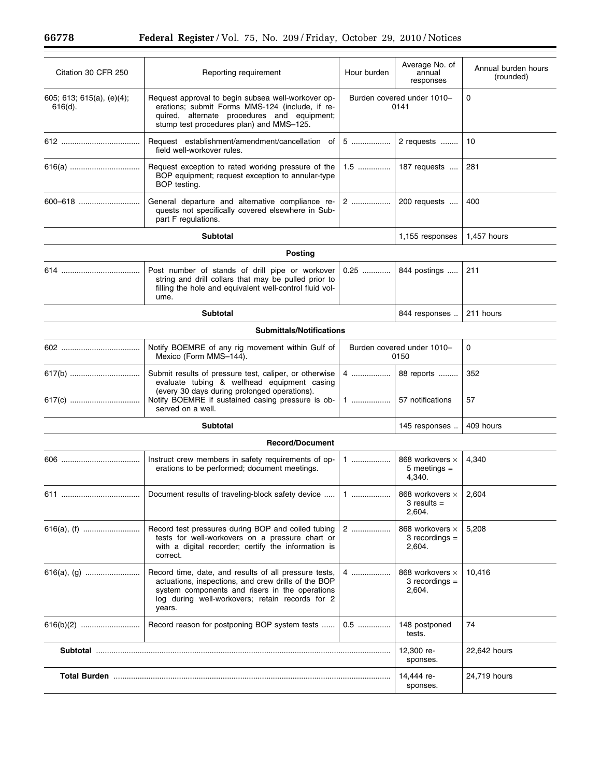$\equiv$ 

| Citation 30 CFR 250                        | Reporting requirement                                                                                                                                                                                                           | Hour burden                        | Average No. of<br>annual<br>responses           | Annual burden hours<br>(rounded) |  |  |  |
|--------------------------------------------|---------------------------------------------------------------------------------------------------------------------------------------------------------------------------------------------------------------------------------|------------------------------------|-------------------------------------------------|----------------------------------|--|--|--|
| 605; 613; 615(a), $(e)(4)$ ;<br>$616(d)$ . | Request approval to begin subsea well-workover op-<br>erations; submit Forms MMS-124 (include, if re-<br>quired, alternate procedures and equipment;<br>stump test procedures plan) and MMS-125.                                | Burden covered under 1010-<br>0141 |                                                 | 0                                |  |  |  |
|                                            | Request establishment/amendment/cancellation of<br>field well-workover rules.                                                                                                                                                   | $5$                                | 2 requests                                      | 10                               |  |  |  |
| 616(a)                                     | Request exception to rated working pressure of the<br>BOP equipment; request exception to annular-type<br>BOP testing.                                                                                                          | $1.5$                              | 187 requests                                    | 281                              |  |  |  |
| 600-618                                    | General departure and alternative compliance re-<br>quests not specifically covered elsewhere in Sub-<br>part F regulations.                                                                                                    | 2                                  | 200 requests                                    | 400                              |  |  |  |
| <b>Subtotal</b>                            |                                                                                                                                                                                                                                 |                                    | 1,155 responses                                 | 1,457 hours                      |  |  |  |
| <b>Posting</b>                             |                                                                                                                                                                                                                                 |                                    |                                                 |                                  |  |  |  |
|                                            | Post number of stands of drill pipe or workover<br>string and drill collars that may be pulled prior to<br>filling the hole and equivalent well-control fluid vol-<br>ume.                                                      | $0.25$                             | 844 postings                                    | 211                              |  |  |  |
| <b>Subtotal</b>                            |                                                                                                                                                                                                                                 |                                    | 844 responses                                   | 211 hours                        |  |  |  |
|                                            | <b>Submittals/Notifications</b>                                                                                                                                                                                                 |                                    |                                                 |                                  |  |  |  |
|                                            | Notify BOEMRE of any rig movement within Gulf of<br>Mexico (Form MMS-144).                                                                                                                                                      | Burden covered under 1010-<br>0150 |                                                 | 0                                |  |  |  |
| 617(b)<br>617(c)                           | Submit results of pressure test, caliper, or otherwise<br>evaluate tubing & wellhead equipment casing<br>(every 30 days during prolonged operations).<br>Notify BOEMRE if sustained casing pressure is ob-<br>served on a well. | 4<br>1                             | 88 reports<br>57 notifications                  | 352<br>57                        |  |  |  |
| <b>Subtotal</b>                            |                                                                                                                                                                                                                                 |                                    | 145 responses                                   | 409 hours                        |  |  |  |
|                                            |                                                                                                                                                                                                                                 |                                    |                                                 |                                  |  |  |  |
|                                            | <b>Record/Document</b><br>Instruct crew members in safety requirements of op-<br>erations to be performed; document meetings.                                                                                                   | $1$                                | 868 workovers x<br>5 meetings $=$<br>4,340.     | 4,340                            |  |  |  |
|                                            | Document results of traveling-block safety device                                                                                                                                                                               | $1$                                | 868 workovers x  <br>$3$ results $=$<br>2,604.  | 2,604                            |  |  |  |
|                                            | Record test pressures during BOP and coiled tubing<br>tests for well-workovers on a pressure chart or<br>with a digital recorder; certify the information is<br>correct.                                                        | 2                                  | 868 workovers ×<br>$3$ recordings $=$<br>2,604. | 5,208                            |  |  |  |
|                                            | Record time, date, and results of all pressure tests,<br>actuations, inspections, and crew drills of the BOP<br>system components and risers in the operations<br>log during well-workovers; retain records for 2<br>years.     | 4                                  | 868 workovers ×<br>$3$ recordings =<br>2,604.   | 10,416                           |  |  |  |
|                                            | Record reason for postponing BOP system tests                                                                                                                                                                                   | 0.5                                | 148 postponed<br>tests.                         | 74                               |  |  |  |
|                                            |                                                                                                                                                                                                                                 |                                    | 12,300 re-<br>sponses.                          | 22,642 hours                     |  |  |  |
|                                            |                                                                                                                                                                                                                                 |                                    | 14,444 re-<br>sponses.                          | 24,719 hours                     |  |  |  |
|                                            |                                                                                                                                                                                                                                 |                                    |                                                 |                                  |  |  |  |